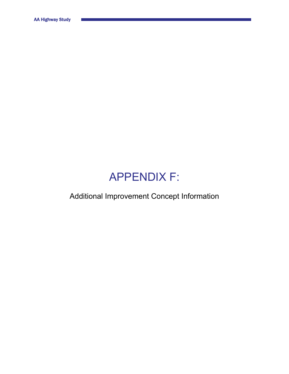## APPENDIX F:

Additional Improvement Concept Information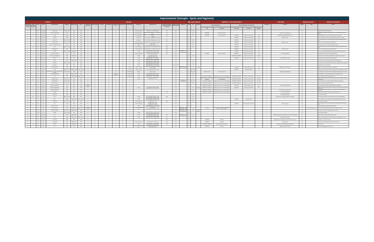|        | <b>Improvement Concepts - Spots and Segments</b> |                        |                                                                        |                   |                        |                  |                      |          |                |                 |           |            |                            |                            |                                                                                     |                          |                |                                         |                        |           |                                       |                                                                                |                         |                                          |             |                                |                                                                     |           |  |                                                                                                                                                          |
|--------|--------------------------------------------------|------------------------|------------------------------------------------------------------------|-------------------|------------------------|------------------|----------------------|----------|----------------|-----------------|-----------|------------|----------------------------|----------------------------|-------------------------------------------------------------------------------------|--------------------------|----------------|-----------------------------------------|------------------------|-----------|---------------------------------------|--------------------------------------------------------------------------------|-------------------------|------------------------------------------|-------------|--------------------------------|---------------------------------------------------------------------|-----------|--|----------------------------------------------------------------------------------------------------------------------------------------------------------|
|        | Location                                         |                        |                                                                        |                   |                        | Features         |                      |          |                |                 |           |            | <b>High Crash Location</b> |                            |                                                                                     |                          |                | <b>Identified or Committed Project?</b> |                        |           |                                       |                                                                                | LO/S Input              |                                          |             | <b>Geometric Issue?</b>        | <b>Additional Comments</b>                                          |           |  |                                                                                                                                                          |
|        |                                                  |                        |                                                                        |                   |                        |                  | Performer            |          |                |                 |           |            |                            |                            |                                                                                     | Indooint to Intersection | rinal Arter    |                                         |                        |           |                                       | <b>Unsponsored Identified</b>                                                  |                         | Sponsored Identified / Committed Project |             |                                |                                                                     |           |  |                                                                                                                                                          |
| Number | ation ID                                         |                        |                                                                        |                   |                        |                  |                      |          |                |                 |           |            |                            |                            |                                                                                     | Distance (ft)            |                |                                         |                        |           | CHAF                                  | Description                                                                    | CHAF / ID No.           | Description                              | 2020 Score  |                                |                                                                     |           |  |                                                                                                                                                          |
|        |                                                  | KY 9<br>Pendletor      | Short Ivor Rd                                                          | $3.628 - 3.928$   | 7800                   | 19.418           | <b>No</b>            | 55       |                |                 | - 10      |            | $\sim$                     | Truck Climbing Lane        | WB, MPs 3.577 - 2.833 (Pendleton)                                                   | 269                      | Rural          |                                         | $Yes$ 1.06             |           |                                       |                                                                                |                         |                                          |             | $^{\circ}$                     |                                                                     | No.       |  | n CRF Threshold: no LO/S Comments                                                                                                                        |
|        |                                                  | KY 9                   | KY 159 - New Hope Rd                                                   | 0.296             | 7800                   | 19,418           | No.                  | 55       |                | <b>12</b>       | 10        | Yes        | $\circ$                    | Truck Climbing Lane        | APs 18.809 (Bracken) -0.315 (Peno<br>7,200 ft                                       | 100                      | Rural          |                                         | $0 - 0.91$             |           | IP20080380                            | Improve Intersection                                                           |                         |                                          |             | $\overline{2}$                 | Transition Issue of Passing Lane                                    | No.       |  | ssing Lane Drops Past Intersection; No Turn Lanes; Mostly Collisions with                                                                                |
|        |                                                  | KY 9<br><b>Bracken</b> | lier Rd                                                                | 19,804            | 7300                   | 19.418           | Yes                  | 55       |                | 12              | 11        | Yes        | $\sim$                     | <b>Truck Climbing Lane</b> | 3, MPs 18.809 (Bracken) -0.315 (Pendi<br>7.200 ft                                   | 1943                     | Rural          |                                         | 0.83                   |           | IP20190008                            | Improve Intersection                                                           | IP20020207              | Widen to 4-Lane Divided                  | 26.4        | $\rightarrow$                  | Maior Traffic Generator: Add Turn Lanes                             | No.       |  | Acquiring Route: Turn Lanes Not Warranted: 75% Crashes Injury                                                                                            |
|        |                                                  | KY9<br>Bracken         | Foster Rd                                                              | 18.809            | 5800                   | 10.558           | No.                  | 55       |                | 12              | 11        | Yes        | $\circ$                    | <b>Turning Lane</b>        | EB LT, 18.856 - 18.809 (Bracken), 12' wide                                          | $\circ$                  | Rural          |                                         |                        |           |                                       |                                                                                | IP20070207              | Widen to 4-Lane Divided                  | 26.4        | $\overline{1}$                 | Need Turn Lanes                                                     | No        |  | oute Transferring to County: Iler Road Considered Instead for Turn Lanes                                                                                 |
|        |                                                  | KY 9<br>Bracker        | Kennon Rd                                                              | 18.335 - 18.63    | 5800                   | 10.558           | No                   | 55       |                | 12 <sub>1</sub> |           |            | $\circ$                    | <b>Turning Lane</b>        | EB LT, 18.856 - 18.809 (Bracken), 12' wide                                          | 919                      | Rural          |                                         | 0.98                   |           |                                       |                                                                                | IP20070207              | Widen to 4-Lane Divided                  | 26.4        | $\overline{0}$                 |                                                                     | No        |  | F<1: Explore as Part of Corridor-Wide project for Adding / Modifying Climbing                                                                            |
|        |                                                  | KY 9<br>Bracken        | Holts Creek Rd                                                         | $17.612 - 17.9$   | 5800                   | 10.558           | Yes                  | 55       |                | <b>12</b>       | 12        | No.        | <sup>1</sup>               | Truck Climbing Lane        | EB. MPs 17.865 - 16.715 (Bracken), 6.075 ft                                         | $\sim$ 0                 | Rural          |                                         | $0 - 0.94$             |           |                                       |                                                                                | IP20070207              | Widen to 4-Lane Divided                  | 26.4        | $\overline{1}$                 | Need Turn Lanes                                                     | No        |  | CRF<1: Turn Lanes Not Warranted Per Traffic Count                                                                                                        |
|        |                                                  | KY 9<br>Bracker        | KY 1019 - Lenoxsburg Foster Rd                                         | 16.856            | 7300                   | 19.418           | No                   | 55       |                |                 |           |            | $\circ$                    | Lane                       | Turning Lanes:<br>EB LT, MPs 16.856 - 16.915, 12' wide                              | 744                      | Rural          |                                         | 1.18                   |           |                                       |                                                                                | IP20070207              | Widen to 4-Lane Divided                  | 26.4        | $\circ$                        |                                                                     | No        |  | Passing Lane; Left Turn Lanes; Several Angle Collisions<br>F<1: Explore as Part of Corridor-Wide project for Adding / Modifying Climbing                 |
|        |                                                  | KY 9<br>Bracker        | N/A                                                                    | 15.850 - 16.15    | 7300                   | 19.418           | No.                  | 55       |                | 12              | 11        | No         | $\circ$                    | Truck Climbing Lane        | EB, MPs 17.865 - 16.715 (Bracken), 6,075 ft                                         | 2983                     | Rural          |                                         | 0.98                   |           |                                       |                                                                                | IP20070207              | Widen to 4-Lane Divided                  | 26.4        | $\sim$                         |                                                                     | No        |  |                                                                                                                                                          |
|        |                                                  | KY 9<br>Bracken        | Eden Ridge Rd                                                          | 15.687            | 7300                   | 19.418           | Yes                  | 55       |                |                 |           | No         | <sup>1</sup>               | Truck Climbing Lane        | EB, MPs 17.865 - 16.715 (Bracken), 6,075 ft<br>EB LT, MPs 10.259 - 10.310, 12' wide | 5428                     | Rural          |                                         |                        |           |                                       |                                                                                | IP20070207              | Widen to 4-Lane Divided                  | 26.4        | <sup>1</sup>                   | Need Turn Lanes                                                     | No        |  | RF<1; Turn Lanes Not Warranted Per Traffic Count                                                                                                         |
|        | $\mathbb{R}$                                     | KY 9<br>Bracken        | KY 1159                                                                | 10.259 - 10.55    | 6400 / 5500            | 19.418           | <b>No</b>            | 55       |                | 12              | 11        | Yes        | $\overline{0}$             | Turning                    | WB LT, MPs 10.210 - 10.259, 12' wir                                                 | 2540                     | Rural          | 75 - Goose C                            | 1.77                   |           |                                       |                                                                                | IP20080277              | Widen to 4-Lane Divided                  | 24.0        | $\sim$                         |                                                                     | No.       |  | Left Turn Lanes: No Apparent Bridge Drains: Head-On and Sideswipe Crashes                                                                                |
|        |                                                  | KY 9<br>Bracken        | KY 875 - Mt. Zion Rd                                                   | 7.751             | 5500                   | 19,418           | Yes                  | 55       |                | <b>12</b>       | 11        | Yes        | $\circ$                    | Truck Climbing Lane        | EB. MPs 7.550 - 8.240, 3.640 ft<br>EB LT, MPs 5.546 - 5.600                         | 1061                     | Rural          |                                         |                        |           | IP20150014                            | Improve Intersection                                                           | IP20080277              | Widen to 4-Lane Divided                  | 24.0        | $\overline{2}$                 | Turn Lanes: Tight Radii                                             | No.       |  | B Passing Lane: No Turn Lanes: Three Angle Collisions                                                                                                    |
|        |                                                  | KY 9<br>Bracken        | KY 19 - Augusta Chatham Rd                                             | 5.546             | 5500 / 6200            | 19.418           | No.                  | 52       |                | 12              | 11        | Yes        | $\circ$                    | Turning                    | WB LT, MPs 5.495 - 5.546<br>EB LT. MPs 2.831 - 2.775. 12' wide                      |                          | Rural          |                                         | 2.03                   |           |                                       |                                                                                | IP20080277 / IP20080553 | Widen to 4-Lane Divided                  | 24.0 / 29.5 | $\sim$ 0                       |                                                                     | No        |  | Left Turn Lanes; Car Park; Several Angle Collisions; Several Animal Collisions                                                                           |
|        |                                                  | KY 9<br>Bracken        | Hook Ln                                                                | 2.831             | 1210                   | 19,418           | <b>No</b>            | 55       |                | <b>12</b>       | 11        | Yes        | <sup>1</sup>               | Tuming                     | WB RT, MPs 2.831 - 2.775, 12' wide<br>EB LT, MPs 17.049 - 17.080, 14' wide          |                          | Rural          |                                         |                        |           |                                       |                                                                                | IP20080553              | Widen to 4-Lane Divided                  | 29.5        | $\overline{1}$                 | Turning Traffic with Trailers                                       | No.       |  | tential Future Private Adiacent Land Development                                                                                                         |
| 14     | G                                                | KY 9<br>Mason          | KY 435                                                                 | 17.049            | 5800 / 6400            | 10.558           | No.                  | 55       | $\overline{a}$ | 12              | 10        | Yes        | 14                         | Turning                    | EB RT, MPs 17.049 - 17.080, 12' wide<br>EB LT. MPs 15.104 - 14.941. 14' wide        |                          | Rural          |                                         | Yes 1.30               |           |                                       |                                                                                |                         |                                          |             | $\sim$                         |                                                                     | No        |  | Crashes Post Construction; Wet Conditions; 3 Run Off Roadway                                                                                             |
|        |                                                  | KY 9<br>Mason          | Slack Pike                                                             | 14.642 - 14.94    | 200                    | 10.558           | No.                  | 55       |                | 12              | $\circ$   | No.        | 14                         | Turning                    | EB RT, MPs 15.004 - 14.941, 12' wide<br>EB LT. MPs 12.620 - 12.773. 14' wide        |                          | Rural          |                                         | Yes 152                |           |                                       |                                                                                |                         |                                          |             | $\sim$ 0                       |                                                                     | No.       |  | valuation of Crash Data Showed Post-Construction Crashes Occurred in Parking Lot                                                                         |
|        | <b>H</b>                                         | KY 9<br>Masor          | Downing Dr                                                             | 12.620            | 9200                   | 10.558           | Yes                  | 55       |                |                 | 10        |            | 14                         | Turning                    | EB RT. MPs 12.620 - 12.773. 12' wide<br>MPs 10.256 - 12.242, 10,490 ft, 14' wide    |                          | Urban / Rural  |                                         | es 1.76                |           |                                       |                                                                                |                         |                                          |             | $\circ$                        |                                                                     | No        |  | Lighting on Ramp; Interchange                                                                                                                            |
|        |                                                  | KY 9<br>Mason          | Kenton Station Dr                                                      | 10.861            | 12400                  | 13.735           | Yes                  | 55       |                | 12              |           | No         | 14 - TWLTL                 | TWLTL / Turning            | EB LT Turn Lane                                                                     |                          | Urban          | 80.7 - Lay                              | 1.16                   | L - Angle |                                       |                                                                                | IP20160298              | Construct Right Turn Lane                | 31.8        | $\overline{\phantom{a}}$       | Add Right Turn Lane to Hospital                                     | No        |  | No Right Turn Lane; 8 Rear End Collisions; No Lighting                                                                                                   |
|        |                                                  | KY 9<br>Masor          | <b>US 62</b><br>larket Square Dr, Tucker Dr, Walmart Way 9.250 - 10.00 | $10.180 - 10.567$ | 3900 / 13400           | 13.735 / 14.169  |                      | 45       |                |                 | 2/1       |            | 14 - TWLTL                 | TWLTL / Turning            | Verify turning lanes. WB LT 12' wide                                                |                          | Urban          |                                         | 2.85 - 3.89            |           |                                       |                                                                                | IP20170079              | Improve Intersection                     | 75.6        | $\sim$                         |                                                                     | No        |  | All Right Turns Shared: Double Lefts on All Approaches: Primarily Rear End Crashes                                                                       |
| 19     |                                                  | KY 9<br>KY 9           | KY 1448 - Maple Leaf Rd                                                | 8.969             | 13400<br>13400 / 12000 | 14.169<br>14.169 | Yes                  | 45<br>55 |                | 12              | 10        |            | Mountabl<br>5 - Mountable  | Turning                    | Various, 12' wide<br>EB LT, MPs 8.969 - 9.000, 12' wide                             |                          | Urban<br>Urban |                                         | es 0.90 - 1.52<br>2.08 |           | Maysville SUA ID T                    | Improve Intersection                                                           |                         |                                          |             | <sup>1</sup><br>$\overline{0}$ | <b>Future Planned Development</b>                                   | No<br>No. |  | eft and Right Turn Lanes; Mix of Rear End, Angle, and Opposing Left Turn Crashes<br>eft and Right Turn Lanes: Striping May be an Issue: Read End Crashes |
|        | M                                                | Mason<br>KY 9<br>Mason | KY 11                                                                  | 7.560             | 12000 / 8200           | 14.169 / 13.395  | No.<br>Yes           | 55       |                |                 | 10        | Yes<br>Yes | 5-Mountable                | Turning                    | EB RT, MPs 8.969 - 9.035, 12' wide<br>EB LT, MPs 7.560 - 7.617, 10' wid             |                          |                |                                         | $15 - 2.83$            |           | IP20110092 / IP20060255               | Videning, access control, overhead lighting                                    | IP20160183 / IP20190115 | Widen to 4-Lane Divided                  | 50.4 / 50.4 | $\sim$                         |                                                                     | No.       |  | lear End Crashes: Shared Through / Right Lanes                                                                                                           |
|        | AC.                                              | KY 9<br>Mason          | <b>Strades Run Pike</b>                                                | $6.990 - 7.42$    |                        | 13,395           | No.                  | 55       |                | 12              | 10        |            | $\sim$                     | Turning                    | WB LT, MPs 7.521 - 7.560, 10' wide<br>FRIT MPc 7 380 - 7 352                        |                          | Urban          |                                         | 102                    |           | rille SUA ID L / IP201100             | ve transition. Widening, access cont                                           | IP20160183 / IP2019011  | Widen to 4-Lane Divided                  | 50.4 / 50.4 | $\sim$                         |                                                                     | No.       |  | In CRF Threshold; Explore as Part of Corridor-Wide project for Adding / Modifying                                                                        |
|        |                                                  | KY 9<br>Mason          | Knoweshaw Rd                                                           | $5.900 - 6.23$    | 8200<br>8200           | 13.395           | No.                  | 55       |                | <b>12</b>       | 10        | No.        | $\overline{0}$             | Turning                    |                                                                                     |                          | Rural<br>Rural |                                         | Yes 1.02 - 1.36        |           | IP20060255<br>IP20110092 / IP20060255 | overhead lighting<br>Idening, access control, overhead lighting                | IP20160183 / IP2019011  | Widen to 4-Lane Divided                  | 50.4 / 50.4 | $\sim$                         |                                                                     | No.       |  | mbing Lanes<br>ear End Crashes: No Turn Lanes: No Painted Stop Bars on Approaches                                                                        |
|        |                                                  | KY 9<br>Masor          | N/A Farm Entrance                                                      | $5.200 - 5.400$   | 8200                   | 13.395           | No                   | 55       |                | 12              | 10        |            | $\circ$                    |                            |                                                                                     |                          | Rural          | 93 - Railroad                           | 0.80                   |           | IP20110092 / IP20060255               | dening, access control, overhead lightin                                       | IP20160183 / IP2019011  | Widen to 4-Lane Divided                  | 50.4 / 50.4 | $\sim$                         |                                                                     | No        |  | tality Involved Human Behavior; Alcohol                                                                                                                  |
|        |                                                  | KY 9<br>Mason          | Clarkson Sherman Rd                                                    | 4.740             | 8200                   | 13.395           | Yes but              | 55       |                | 12              | 10        | <b>No</b>  | $\qquad \qquad \bullet$    |                            |                                                                                     |                          | Rural          |                                         |                        |           | IP20060255 / IP20110093               | idening, access control, overhead lightin                                      | IP20150186              | Construct Right Turn Lane                | 40.0        | $\overline{1}$                 | Turn Lanes for Landfill Access                                      | No        |  | rucks Turning into Landfill; No Painted Stop Bars on Approaches                                                                                          |
|        |                                                  | KY 9<br>Masov          | KY 1449 - Orangeburg Rd                                                | 3.781             | 6100                   | 13.395           | ufficies<br>No       | 55       |                |                 |           |            | $\circ$                    | Turning                    | EB LT. MPs 3.781 - 3.843. 12' wide                                                  |                          | Rural          |                                         | 1.58                   | 1-Rear E  | IP20060255 / IP20110093               | dening, access control, overhead lighting                                      | IP20160183              | Widen to 4-Lane Divided                  | 50.4        | $\circ$                        |                                                                     | No        |  | ngle Collisions: Wide Flares for Right Turning Traffic: Oversized and Dual Stop Sign                                                                     |
|        |                                                  | KY 9<br>Mason          | Marathon/Vaughn Ln                                                     | 2.960             | 6100                   | 13.395           | No.                  | 55       |                | 12              | 10        | No.        | $\circ$                    |                            | WB LT, MPs 3.729 - 3.781, 12' wide                                                  |                          | Rural          |                                         | 1.11                   |           | P20060255 / IP2011009                 | Videning, access control, overhead lighting                                    |                         |                                          |             | $\overline{1}$                 | Re-Paint Lane Lines / Edge Lines                                    | No        |  | n Side Street<br>ucks Turning in/out of Gas Station; No Turn Lanes; No Painted Stop Bars on                                                              |
|        |                                                  | KY 9<br>Mason          | KY 1234                                                                | 0.742             | 6100                   | 13.395           | No                   | 55       |                |                 |           |            | $\circ$                    |                            |                                                                                     | 760                      | Rural          |                                         |                        |           | P20060255/IP20110093                  | Videning, access control, overhead lighting                                    |                         |                                          |             | $\overline{2}$                 | Turn Lane; Road Width                                               | No        |  | ollision with Animal; Striping Confusing; Looks Like Turn Lane                                                                                           |
| 29     |                                                  | KY 9<br>Lewis          | Garrard Rd                                                             | 30,360            | 5000                   | 15.151           | <b>No</b>            | 55       |                | 12              | 11        | Yes        | $\sim$                     |                            |                                                                                     |                          | Rural          |                                         | 0.78                   |           |                                       |                                                                                |                         |                                          |             | $\overline{2}$                 | No Passing Zone Needed                                              | No.       |  | sues with Cars Passing                                                                                                                                   |
| 30     | AD                                               | KY 9<br>Lewis          | N/A                                                                    | 29.014 - 29.31    | 5000                   | 15.151           | No.                  | 55       |                | 12              | 11        | No.        | $\sim$                     | Turning                    | EB LT, MPs 28.480 - 28.380, 12' wide                                                | 2820                     | Rural          |                                         | 0.78                   |           |                                       |                                                                                |                         |                                          |             | $\overline{2}$                 | Payement Issue - Payement Markers, Crack Sealing                    | No.       |  | CRF<1: Explore as Part of Corridor-Wide Project for Payement Management                                                                                  |
|        |                                                  | KY 9<br>Lewis          | KY 57                                                                  | 28,380            | 5000 / 4900            | 15.151 / 15.451  | <b>No</b>            | 55       |                | <b>12</b>       | 11        | Yes        | $\sim$                     | Turning                    | EB RT, MPs 28.445 - 28.380, 12' wide<br>EB LT, MPs 28.380 - 28.445, 12' wide        |                          | Rural          |                                         | 1.88                   |           |                                       |                                                                                | 9-8807.00               | Reconstruct KY 57                        |             | $\sim$                         |                                                                     | No.       |  | Head on Collisions: Left and Right Turn Lanes: Striping Appears to be Faded                                                                              |
|        |                                                  | KY 9<br>Lewis          | Simmons Rd                                                             | 27.175 - 27.47    | 5500                   | 15.451           | <b>No</b>            | 55       |                | <b>12</b>       | 11        | No.        | $\circ$                    | Truck Climbing Lane        | B RT, MPs 28.830 - 28.480, 12' wide<br>EB. MPs 26.040 - 25.725                      | 5993                     | Rural          |                                         | 0.95                   |           |                                       |                                                                                |                         |                                          |             | $\sim$                         |                                                                     | No.       |  | CRF<1: No LO/S Comments                                                                                                                                  |
|        | AC.                                              | KY 9<br>I ewis         | N/A                                                                    | 22.100            | 5500                   | 15.451           | No.                  | 55       |                | 12              | 11        | No.        | $\overline{0}$             | <b>Truck Climbing Lane</b> | EB. MPs 22.710 - 22.410<br>WB, MPs 22.559 - 21.989                                  |                          | Rural          |                                         |                        |           |                                       |                                                                                | 9.20010.00              | Address Payement Condition               |             | $\rightarrow$                  | Short Passing Lane                                                  | No.       |  | F<1; Explore as Part of Corridor-Wide project for Adding / Modifying Climbing                                                                            |
|        |                                                  | KY 9<br>Lewis          | KY 2523 - Lions Ln                                                     | 12.749            | 5000                   | 15.451           | No.                  | 55       |                | 12              | 11        | Yes        | 14                         | Turning                    | EB LT. MPs 12.805 - 12.749. 12' wide<br>WB RT, MPs 12.749 -12.715, 12' wide         |                          | Rural          |                                         |                        |           |                                       |                                                                                |                         |                                          |             | $\sim$                         |                                                                     | No        |  | eviously Brought up by D9; No Identified Crashes                                                                                                         |
|        |                                                  | KY 9<br>Lewis          | KY 59 / Fairlane Dr                                                    | 11.205            | 5000/5100              | 15.451 / 19.148  | <b>Planning Stud</b> | 55       |                | 12              | 11        | Yes        | $\circ$                    | urning / Truck Climbing    | <b>Turning Lanes:</b><br>EB LT, MPs 11.205 - 11.275, 12' wide                       | $\circ$                  | Rural          | 068B00100N - Go<br>37.9 - Dry Run Cre   | 1.20                   |           | IP20110103                            | leconstruct KY 9 - turn lanes, lighting, sigl<br>distance, reduce speed limit. |                         |                                          |             | $\sim$                         |                                                                     | Yes       |  | Hor. Curve (10.812-11.133) Left Turn Lanes Only; Angle Collisions; Culverts on Both Sides of Road                                                        |
| 36     |                                                  | KY 10<br>Lewis         | KY 1306 - Kinney Rd                                                    | 11.805 - 12.10    | 2600/4600              | 9.869            | No                   | 55       |                |                 |           |            | $\circ$                    |                            |                                                                                     |                          | Rural          |                                         | 1.85                   |           |                                       |                                                                                |                         |                                          |             | $\overline{0}$                 |                                                                     | No        |  | veway in Curve; Fatality - Striking Tree; No Turn Lanes                                                                                                  |
|        |                                                  | KY 10<br>Lewis         | KY 3311                                                                | 14.183 - 14.483   | 1300                   | 9.599            | <b>No</b>            | 55       |                | 12              | 11        |            | $\circ$                    | Turning                    | EB LT, MPs 14.365 - 14.306, 12' wide<br>WB RT, MPs 14.420 -14.365, 12' wide         |                          | Rural          |                                         |                        |           |                                       |                                                                                |                         |                                          |             | $\sim$                         |                                                                     | No        |  | CRF<1: No LO/S Comments                                                                                                                                  |
| 38     | <b>W</b>                                         | KY 10<br>Greenup       | KY 7                                                                   | 8.289             | 1800/2900              | 9.599            | No.                  | 55       |                | 12              | 12        | No         | $\circ$                    | Turning                    | EB RT, MPs 8.206 - 8.289, 12' wide<br>EB LT, MPs 8.206 - 8.289, 12' wide            | 940                      | Rural          | 45B00071N - F<br>6.4 - Tygarts C        | 2.11                   |           |                                       |                                                                                |                         |                                          |             |                                | Existing Overhead Caution Lights but a Lot of Crashes; Add Lighting | No        |  | Angle Collisions; Multiple Angle Collisions Nearby                                                                                                       |
|        |                                                  | KY 10<br>Greenuc       | <b>US 23</b>                                                           | 11.582            | 2900/6700              | 559/11.417       |                      | 55       |                |                 | <b>12</b> |            | $\circ$                    | Turning                    | EB RT, MPs 11.461 - 11.582, 12' wide<br>EB LT, MPs 11.518 - 11.582, 12' wide        | 639                      | Rural          |                                         | 3.77                   |           |                                       |                                                                                |                         |                                          |             | $\overline{1}$                 | Fog: Need Alert for Signa                                           | No        |  | pe Issues: 8 Angle Collisions: 5 Rear End Collisions: Left and Right Turn Lanes                                                                          |
|        |                                                  | KY 9<br>Carter         | KY 7 (North)                                                           | 6,498             | 3000                   | 15.923           | Yes                  | 55       |                | 12              | <b>12</b> | No.        | $\overline{0}$             |                            |                                                                                     | 5053                     | Rural          |                                         |                        |           | IP20080528                            | Widening                                                                       |                         |                                          |             | $\rightarrow$                  | Sight Distance Issue: Passing Zone: Steep Grade: No Turn Lanes      | No.       |  | ersection in Curve: No Turn Lanes                                                                                                                        |
|        |                                                  | KY 9<br>Carter         | KY 7 (South)                                                           | 5,486             | 3000 / 4000            | 15.923           | Yes                  | 55       |                | 12              | 12        |            | $\sim$                     | Truck Climbing Lane        | EB, MPs 4.646 - 5.541, 4.730 ft                                                     | 290                      | Rural          |                                         |                        |           | IP20080528                            | Widening                                                                       |                         |                                          |             | $\sim$ 1                       | <b>Transition Issue</b>                                             | No.       |  | nsition Issues: Multiple Animal Collisions: No Turn Lane:                                                                                                |
|        | AA                                               | KY 9<br>Carter         | KY 1959                                                                | 1.078             | 4000/4600              | 19.874           | Yes                  | 55       |                | 12              | 12        | <b>No</b>  | $\overline{0}$             | Turning                    | EB LT, MPs 1.078 - 1.120, 12' wide<br>WB LT. MPs 1.015 - 1.078. 12' wid-            | 1172                     | Rural          |                                         |                        |           | IP20080528 / IP20080529               | Widening / Improve Intersection                                                |                         |                                          |             | $-1$                           | Transition Issue; No Lighting; No Caution Lights                    | No        |  | o Turn Lanes                                                                                                                                             |
| 43     |                                                  | KY 9<br>Carter         | KY <sub>1</sub>                                                        | 0.000             | 4600                   | 19.874           | No                   | 55       |                |                 |           |            | $\sim$                     | urning / Truck Climbing    | EB RT. MPs 0.100 - 0.000. 12' wide<br>EB. MPs 0.856 - 0.000                         |                          | Rural          |                                         |                        |           | IP20080528                            | Widening                                                                       |                         |                                          |             |                                | Right Lane Drops; Truck Issues                                      | No.       |  | KYTC Reviewing Signage per Grayson SUA                                                                                                                   |